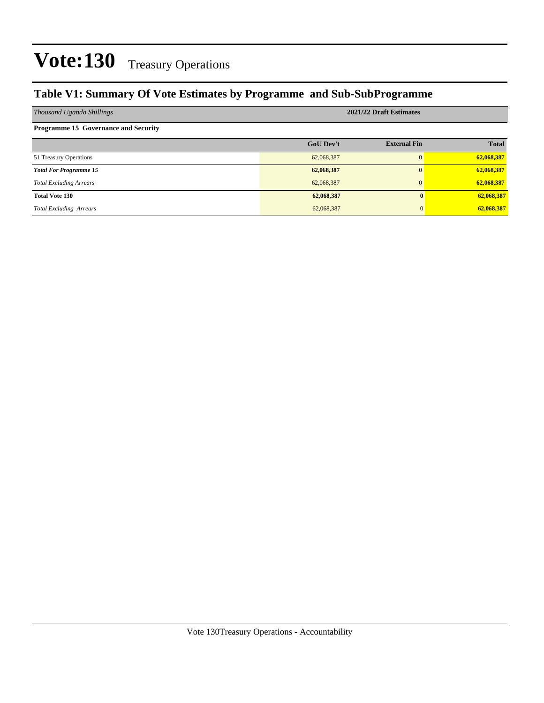## **Table V1: Summary Of Vote Estimates by Programme and Sub-SubProgramme**

| Thousand Uganda Shillings                   | 2021/22 Draft Estimates |                     |              |  |  |  |
|---------------------------------------------|-------------------------|---------------------|--------------|--|--|--|
| <b>Programme 15 Governance and Security</b> |                         |                     |              |  |  |  |
|                                             | <b>GoU Dev't</b>        | <b>External Fin</b> | <b>Total</b> |  |  |  |
| 51 Treasury Operations                      | 62,068,387              | $\Omega$            | 62,068,387   |  |  |  |
| <b>Total For Programme 15</b>               | 62,068,387              | $\mathbf{0}$        | 62,068,387   |  |  |  |
| <b>Total Excluding Arrears</b>              | 62,068,387              | $\Omega$            | 62,068,387   |  |  |  |
| <b>Total Vote 130</b>                       | 62,068,387              |                     | 62,068,387   |  |  |  |
| <b>Total Excluding Arrears</b>              | 62,068,387              | $\Omega$            | 62,068,387   |  |  |  |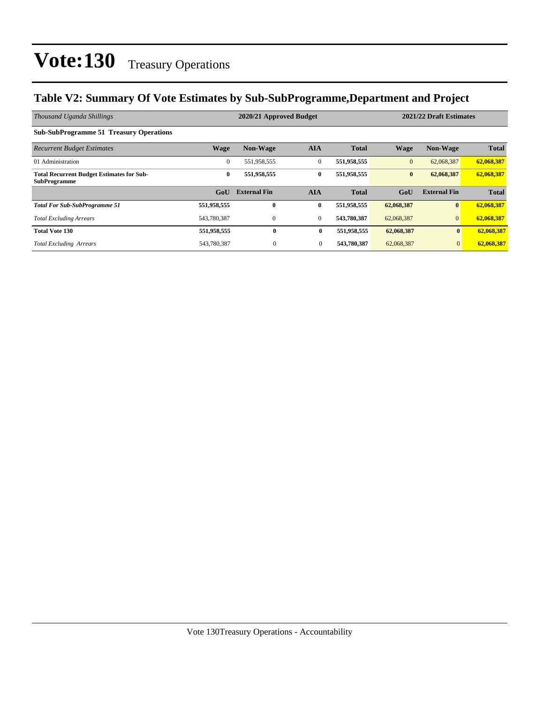## **Table V2: Summary Of Vote Estimates by Sub-SubProgramme,Department and Project**

| Thousand Uganda Shillings                                               | 2020/21 Approved Budget |                     |              |              | 2021/22 Draft Estimates |                     |              |
|-------------------------------------------------------------------------|-------------------------|---------------------|--------------|--------------|-------------------------|---------------------|--------------|
| <b>Sub-SubProgramme 51 Treasury Operations</b>                          |                         |                     |              |              |                         |                     |              |
| <b>Recurrent Budget Estimates</b>                                       | <b>Wage</b>             | <b>Non-Wage</b>     | <b>AIA</b>   | <b>Total</b> | <b>Wage</b>             | <b>Non-Wage</b>     | <b>Total</b> |
| 01 Administration                                                       | $\mathbf{0}$            | 551,958,555         | $\mathbf{0}$ | 551,958,555  | $\mathbf{0}$            | 62,068,387          | 62,068,387   |
| <b>Total Recurrent Budget Estimates for Sub-</b><br><b>SubProgramme</b> | $\bf{0}$                | 551,958,555         | $\bf{0}$     | 551,958,555  | $\bf{0}$                | 62,068,387          | 62,068,387   |
|                                                                         | G <sub>o</sub> U        | <b>External Fin</b> | <b>AIA</b>   | <b>Total</b> | GoU                     | <b>External Fin</b> | <b>Total</b> |
| <b>Total For Sub-SubProgramme 51</b>                                    | 551,958,555             | $\mathbf{0}$        | $\bf{0}$     | 551,958,555  | 62,068,387              | $\bf{0}$            | 62,068,387   |
| <b>Total Excluding Arrears</b>                                          | 543,780,387             | $\mathbf{0}$        | $\mathbf{0}$ | 543,780,387  | 62,068,387              | $\overline{0}$      | 62,068,387   |
| <b>Total Vote 130</b>                                                   | 551,958,555             | $\bf{0}$            | $\bf{0}$     | 551,958,555  | 62,068,387              | $\mathbf{0}$        | 62,068,387   |
| <b>Total Excluding Arrears</b>                                          | 543,780,387             | $\mathbf{0}$        | $\mathbf{0}$ | 543,780,387  | 62,068,387              | $\mathbf{0}$        | 62,068,387   |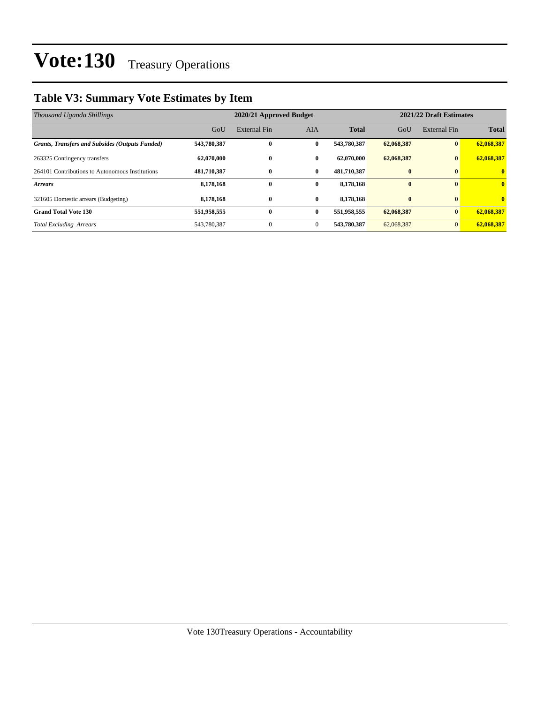## **Table V3: Summary Vote Estimates by Item**

| Thousand Uganda Shillings                              |             | 2020/21 Approved Budget |              |              |            | 2021/22 Draft Estimates |              |  |
|--------------------------------------------------------|-------------|-------------------------|--------------|--------------|------------|-------------------------|--------------|--|
|                                                        | GoU         | <b>External Fin</b>     | <b>AIA</b>   | <b>Total</b> | GoU        | <b>External Fin</b>     | <b>Total</b> |  |
| <b>Grants, Transfers and Subsides (Outputs Funded)</b> | 543,780,387 | $\bf{0}$                | $\bf{0}$     | 543,780,387  | 62,068,387 | $\mathbf{0}$            | 62,068,387   |  |
| 263325 Contingency transfers                           | 62,070,000  | 0                       | $\bf{0}$     | 62,070,000   | 62,068,387 | $\mathbf{0}$            | 62,068,387   |  |
| 264101 Contributions to Autonomous Institutions        | 481.710.387 | $\bf{0}$                | $\bf{0}$     | 481,710,387  | $\bf{0}$   |                         | $\mathbf{0}$ |  |
| <b>Arrears</b>                                         | 8,178,168   | 0                       | $\bf{0}$     | 8,178,168    | $\bf{0}$   |                         | $\mathbf{0}$ |  |
| 321605 Domestic arrears (Budgeting)                    | 8,178,168   | $\bf{0}$                | $\bf{0}$     | 8,178,168    | $\bf{0}$   | $\mathbf{0}$            | $\mathbf{0}$ |  |
| <b>Grand Total Vote 130</b>                            | 551,958,555 | $\bf{0}$                | $\bf{0}$     | 551,958,555  | 62,068,387 | $\mathbf{0}$            | 62,068,387   |  |
| <b>Total Excluding Arrears</b>                         | 543,780,387 | $\mathbf{0}$            | $\mathbf{0}$ | 543,780,387  | 62,068,387 |                         | 62,068,387   |  |